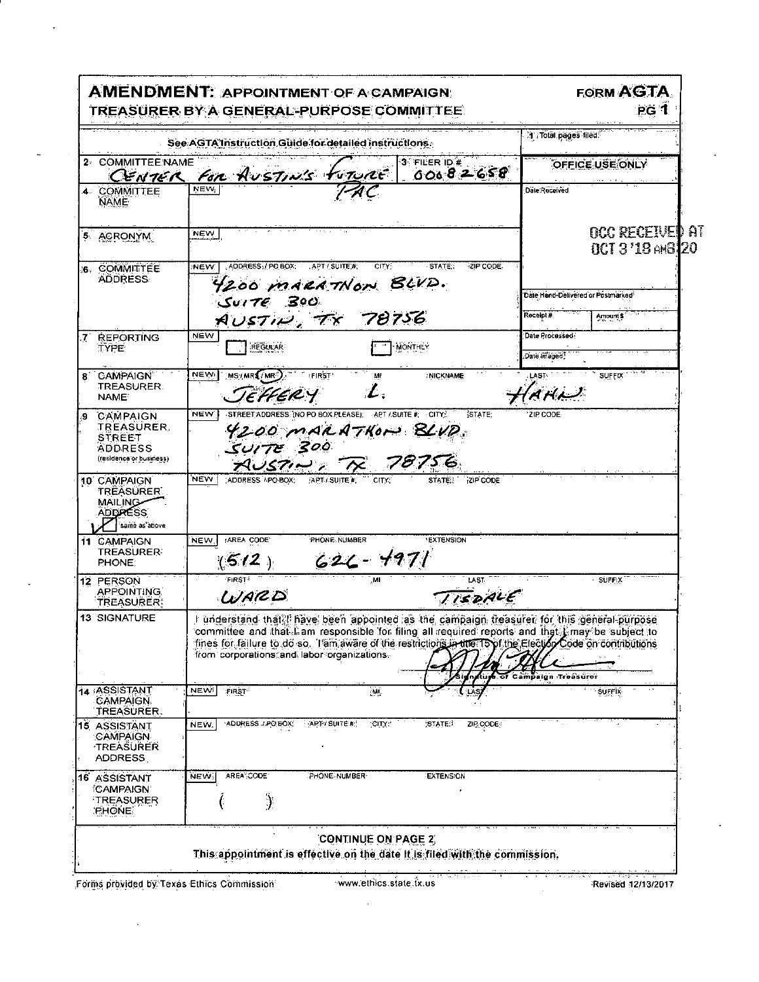|                                                                                                                         | See AGTA Instruction Guide for detailed instructions.                                                                                                                                                                                                                                                                                                                         | 1 Total pages filed.                                                   |
|-------------------------------------------------------------------------------------------------------------------------|-------------------------------------------------------------------------------------------------------------------------------------------------------------------------------------------------------------------------------------------------------------------------------------------------------------------------------------------------------------------------------|------------------------------------------------------------------------|
| 2 COMMITTEE NAME                                                                                                        | 3 FILER ID #<br>CENTER FOR AUSTING FUTURE<br>00082658                                                                                                                                                                                                                                                                                                                         | <b>OFFICE USE ONLY</b>                                                 |
| 4 COMMITTEE<br><b>NAME</b>                                                                                              |                                                                                                                                                                                                                                                                                                                                                                               | Date:Received                                                          |
| 5 ACRONYM                                                                                                               | <b>NEW</b>                                                                                                                                                                                                                                                                                                                                                                    | OCC RECEIVED AT<br>$0C13'1B \oplus 3120$                               |
| 6 COMMITTEE<br><b>ADDRESS</b>                                                                                           | ADDRESS, / PO BOX: APT / SUITE #<br>· STATE:<br>ZIP CODE<br>CITY:<br><b>NEW</b><br>4200 MARATNON BLVD.<br>Sover 60                                                                                                                                                                                                                                                            | Date Hand-Delivered or Postmarked <sup>?</sup><br>Receipt#<br>Amount's |
| <b>REPORTING</b><br>7<br><b>TYPE</b>                                                                                    | AUSTIN, TR 78756<br>NEW<br><b>MONTHLY</b><br><b>REGULAR</b>                                                                                                                                                                                                                                                                                                                   | Date Processed:<br>Date Imaged                                         |
| 8 CAMPAIGN<br><b>TREASURER</b><br><b>NAME<sup>®</sup></b>                                                               | NEW.<br>MS/MRS/MR)<br><b>FIRST'</b><br><b>INICKNAME</b><br>M<br>$\mathcal{L}$ .<br>JEHERY                                                                                                                                                                                                                                                                                     | LAST -<br><b>SUFFIX</b><br>$AHL^2$                                     |
| CAMPAIGN<br>TREASURER.<br><b>STREET</b><br><b>ADDRESS</b><br>(residence or business)                                    | STREET ADDRESS (NO PO BOX PLEASE). APT / SUITE #: CITY:<br>STATE:<br><b>NEW</b><br>4200 MARATHON BLVD.<br>SUITE 300<br>AUSTING TR 78756                                                                                                                                                                                                                                       | ZIP CODE                                                               |
|                                                                                                                         |                                                                                                                                                                                                                                                                                                                                                                               |                                                                        |
| 10 CAMPAIGN<br><b>TREASURER</b><br><b>MAILING</b><br><b>ADDRESS</b><br>same as above<br>11 CAMPAIGN<br><b>TREASURER</b> | <b>NEW</b><br>ADDRESS / PO BOX: APT/ SUITE #:<br>ZIP CODE<br>STATE.<br>AREA CODE<br>PHONE NUMBER<br><b>EXTENSION</b><br>NEW                                                                                                                                                                                                                                                   |                                                                        |
| PHONE.<br>12 PERSON<br><b>APPOINTING</b>                                                                                | $(512)$ 626-4971<br><b>FIRST*</b><br>MI<br>LAST                                                                                                                                                                                                                                                                                                                               | <b>SUFFIX</b>                                                          |
| <b>TREASURER:</b><br><b>13 SIGNATURE</b>                                                                                | TISDALE<br>WARD<br>I understand that, I have been appointed as the campaign treasurer for this general purpose<br>committee and that I am responsible for filing all required reports and that I may be subject to<br>tines for failure to do so. Tam aware of the restrictions in the T5 of the Election Code on contributions<br>from corporations and labor organizations. | npaign Troasurer                                                       |
| 14 ASSISTANT<br><b>CAMPAIGN.</b>                                                                                        | <b>NEW</b><br><b>FIRST</b><br>ÄЩ.                                                                                                                                                                                                                                                                                                                                             | SUFFIX                                                                 |
| TREASURER.<br>15 ASSISTANT<br>CAMPAIGN-<br><b>TREASURER</b><br>ADDRESS                                                  | ADDRESS LPO BOX:<br>APTY SUITE #!<br>CITY!<br>STATE!<br>ZIP CODE:<br>NEW.                                                                                                                                                                                                                                                                                                     |                                                                        |

Forms provided by Texas Ethics Commission

 $\mathcal{L}(\mathcal{L}^{\mathcal{L}})$  and  $\mathcal{L}(\mathcal{L}^{\mathcal{L}})$  and  $\mathcal{L}(\mathcal{L}^{\mathcal{L}})$ 

L,

 $\bar{\mathcal{L}}$ 

 $\boldsymbol{\cdot}$ 

 $\sim$   $\sim$ 

 $\sim$ 

 $\mathcal{L}_{\mathcal{S}}$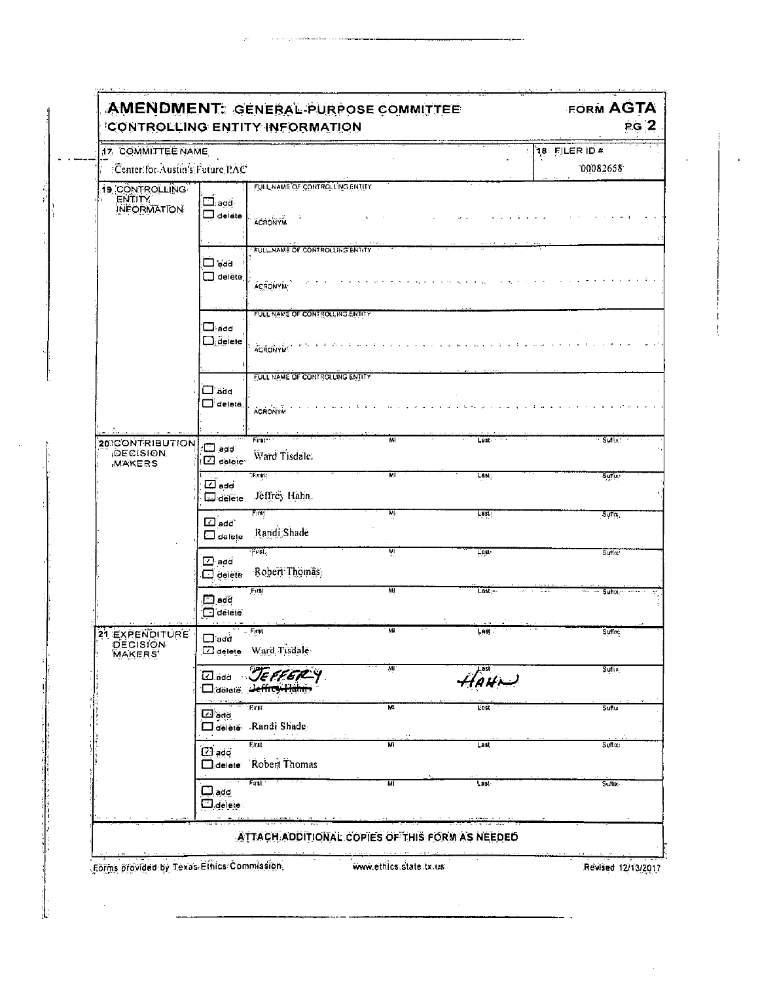| 17 COMMITTEE NAME                            |                                    |                                                 | 18 FILER ID #  |         |                    |
|----------------------------------------------|------------------------------------|-------------------------------------------------|----------------|---------|--------------------|
| :Center:for Austin's Future PAC              |                                    |                                                 |                |         | 00082658           |
| 19 CONTROLLING                               |                                    | FULL NAME OF CONTROLLING ENTITY                 |                |         |                    |
| <b>ENTITY</b><br><b>INFORMATION</b>          | $\Box$ add .                       |                                                 |                |         |                    |
|                                              | $\Box$ delete                      | <b>ACRONYM</b>                                  |                |         |                    |
|                                              |                                    | FULL NAME OF CONTROLLING ENTITY                 |                |         |                    |
|                                              | $\square$ acd                      |                                                 |                |         |                    |
|                                              | □ delētē                           | <b>ACRONYM</b>                                  |                |         |                    |
|                                              |                                    |                                                 |                |         |                    |
|                                              | $\square$ acd                      | FULL NAME OF CONTROLLING ENTITY                 |                |         |                    |
|                                              | $\Box$ delete                      |                                                 |                |         |                    |
|                                              |                                    | <b>ACRONYM!</b>                                 |                |         |                    |
|                                              |                                    | FULL NAME OF CONTROLLING ENTITY                 |                |         |                    |
|                                              | ⊟"add<br>$\Box$ deleté.            |                                                 |                |         |                    |
|                                              |                                    | <b>ACRONYM</b>                                  |                |         |                    |
| 20 CONTRIBUTION                              |                                    | First <sup>-</sup>                              | M <sub>1</sub> | Lest    | - Suffix!          |
| <b>DECISION</b><br><b>MAKERS</b>             | waa w<br>$\Box$ detailer           | Ward Tisdale,                                   |                |         |                    |
|                                              |                                    | :स्क्रिकार्                                     | ਸ਼ਾ            | Last:   | Suita?             |
|                                              | ⊡ add`                             | Josiete Jeffrey Hahn                            |                |         |                    |
|                                              |                                    | First                                           | ٣Ņ             | Last    | Suffix,            |
|                                              | $\square$ add.<br>$\square$ delete | Randi Shade                                     |                |         |                    |
|                                              |                                    | Fust,                                           | MI             | Last-   | Sinkx <sup>2</sup> |
|                                              | $\bm \Xi$ add<br>$\Box$ delete     | Robert Thomas                                   |                |         |                    |
|                                              |                                    | Firal                                           | M              | Last, - | Sulp:              |
|                                              | $\square$ add<br>$\Box$ delete     |                                                 |                |         |                    |
| 21 EXPENDITURE<br><b>DECISION</b><br>MAKERS' | $\Box$ acd                         | $-$ Fant                                        | Mi             | Last.   | Suffix:            |
|                                              | $\Box$ delete                      | Ward Tisdale                                    |                |         |                    |
|                                              | ⊡add                               | JEFFERY                                         | WI.            |         | Sullix             |
|                                              |                                    | □ deletë, <del>Jeffrey Hahm</del>               |                | HAHL    |                    |
|                                              | $\square$ add                      | Eirer                                           | M              | Linst   | Stribs             |
|                                              |                                    | aelete Randi Shade                              |                |         |                    |
|                                              | $\Box$ add                         | First                                           | M              | Last.   | Sulfix;            |
|                                              | $\Box$ delete                      | Robert Thomas                                   |                |         |                    |
|                                              | $\square_{\text{add}}$             | Firti.                                          | MÍ             | Last    | Surius             |
|                                              | $\Box$ delete                      |                                                 |                |         |                    |
|                                              |                                    |                                                 |                |         |                    |
|                                              |                                    | ATTACH ADDITIONAL COPIES OF THIS FORM AS NEEDED |                |         |                    |